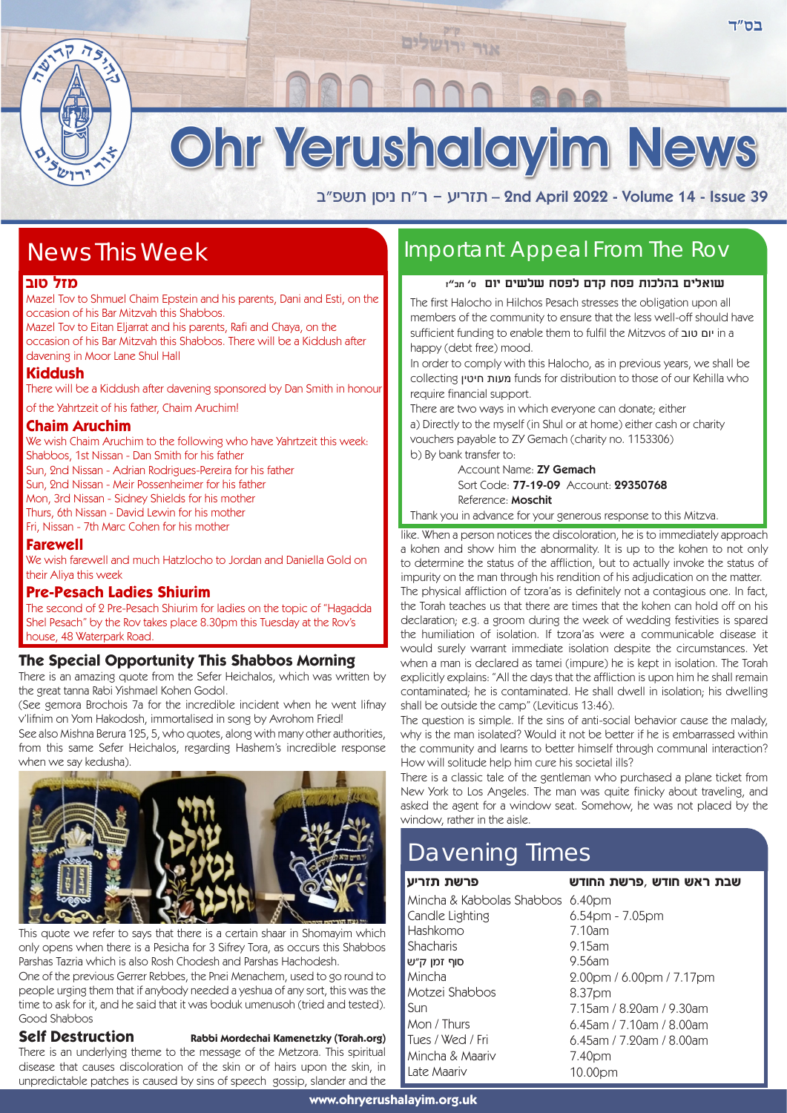Ohr Yerushalayim News

אור יר

a"tyz oqip g"x - rixfz – 2nd April 2022 - Volume 14 - Issue 39

# News This Week

## **מזל טוב**

Mazel Tov to Shmuel Chaim Epstein and his parents, Dani and Esti, on the occasion of his Bar Mitzvah this Shabbos.

Mazel Tov to Eitan Eljarrat and his parents, Rafi and Chaya, on the occasion of his Bar Mitzvah this Shabbos. There will be a Kiddush after davening in Moor Lane Shul Hall

## **Kiddush**

There will be a Kiddush after davening sponsored by Dan Smith in honour

of the Yahrtzeit of his father, Chaim Aruchim!

## **Chaim Aruchim**

We wish Chaim Aruchim to the following who have Yahrtzeit this week: Shabbos, 1st Nissan - Dan Smith for his father Sun, 2nd Nissan - Adrian Rodrigues-Pereira for his father

Sun, 2nd Nissan - Meir Possenheimer for his father

Mon, 3rd Nissan - Sidney Shields for his mother

Thurs, 6th Nissan - David Lewin for his mother

Fri, Nissan - 7th Marc Cohen for his mother

## **Farewell**

We wish farewell and much Hatzlocho to Jordan and Daniella Gold on their Aliya this week

## **Pre-Pesach Ladies Shiurim**

The second of 2 Pre-Pesach Shiurim for ladies on the topic of "Hagadda Shel Pesach" by the Rov takes place 8.30pm this Tuesday at the Rov's house, 48 Waterpark Road.

## **The Special Opportunity This Shabbos Morning**

There is an amazing quote from the Sefer Heichalos, which was written by the great tanna Rabi Yishmael Kohen Godol.

(See gemora Brochois 7a for the incredible incident when he went lifnay v'lifnim on Yom Hakodosh, immortalised in song by Avrohom Fried!

See also Mishna Berura 125, 5, who quotes, along with many other authorities, from this same Sefer Heichalos, regarding Hashem's incredible response when we say kedusha).



This quote we refer to says that there is a certain shaar in Shomayim which only opens when there is a Pesicha for 3 Sifrey Tora, as occurs this Shabbos Parshas Tazria which is also Rosh Chodesh and Parshas Hachodesh.

One of the previous Gerrer Rebbes, the Pnei Menachem, used to go round to people urging them that if anybody needed a yeshua of any sort, this was the time to ask for it, and he said that it was boduk umenusoh (tried and tested). Good Shabbos

## **Self Destruction** Rabbi Mordechai Kamenetzky (Torah.org)

There is an underlying theme to the message of the Metzora. This spiritual disease that causes discoloration of the skin or of hairs upon the skin, in unpredictable patches is caused by sins of speech gossip, slander and the

## Important Appeal From The Rov

### **שואלים בהלכות פסח קדם לפסח שלשים יום ס' תכ"ז**

The first Halocho in Hilchos Pesach stresses the obligation upon all members of the community to ensure that the less well-off should have sufficient funding to enable them to fulfil the Mitzvos of טוב יום in a happy (debt free) mood.

In order to comply with this Halocho, as in previous years, we shall be collecting חיטין מעות funds for distribution to those of our Kehilla who require financial support.

There are two ways in which everyone can donate; either a) Directly to the myself (in Shul or at home) either cash or charity vouchers payable to ZY Gemach (charity no. 1153306) b) By bank transfer to:

> Account Name: ZY Gemach Sort Code: 77-19-09 Account: 29350768 Reference: Moschit

Thank you in advance for your generous response to this Mitzva.

like. When a person notices the discoloration, he is to immediately approach a kohen and show him the abnormality. It is up to the kohen to not only to determine the status of the affliction, but to actually invoke the status of impurity on the man through his rendition of his adjudication on the matter. The physical affliction of tzora'as is definitely not a contagious one. In fact, the Torah teaches us that there are times that the kohen can hold off on his declaration; e.g. a groom during the week of wedding festivities is spared the humiliation of isolation. If tzora'as were a communicable disease it would surely warrant immediate isolation despite the circumstances. Yet when a man is declared as tamei (impure) he is kept in isolation. The Torah explicitly explains: "All the days that the affliction is upon him he shall remain contaminated; he is contaminated. He shall dwell in isolation; his dwelling shall be outside the camp" (Leviticus 13:46).

The question is simple. If the sins of anti-social behavior cause the malady, why is the man isolated? Would it not be better if he is embarrassed within the community and learns to better himself through communal interaction? How will solitude help him cure his societal ills?

There is a classic tale of the gentleman who purchased a plane ticket from New York to Los Angeles. The man was quite finicky about traveling, and asked the agent for a window seat. Somehow, he was not placed by the window, rather in the aisle.

# Davening Times

## **פרשת תזריע**

Mincha & Kabbolas Shabbos 6.40pm Candle Lighting Hashkomo **Shacharis** סוף זמו *ה"*ש Mincha Motzei Shabbos Sun Mon / Thurs Tues / Wed / Fri Mincha & Maariv

Late Maariv

שבת ראש חודש *,*פרשת החודש 6.54pm - 7.05pm 7.10am 9.15am 9.56am 2.00pm / 6.00pm / 7.17pm 8.37pm 7.15am / 8.20am / 9.30am 6.45am / 7.10am / 8.00am 6.45am / 7.20am / 8.00am 7.40pm 10.00pm